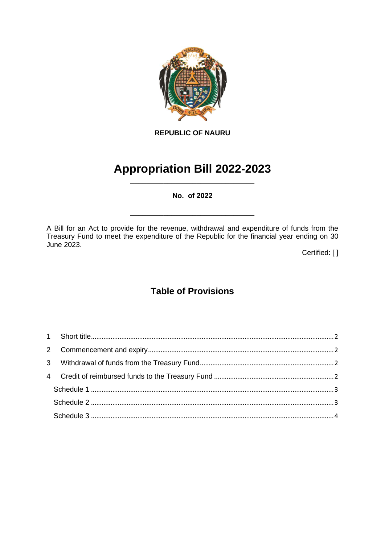

**REPUBLIC OF NAURU**

# **Appropriation Bill 2022-2023** \_\_\_\_\_\_\_\_\_\_\_\_\_\_\_\_\_\_\_\_\_\_\_\_\_\_\_\_\_\_

**No. of 2022**

\_\_\_\_\_\_\_\_\_\_\_\_\_\_\_\_\_\_\_\_\_\_\_\_\_\_\_\_\_\_

A Bill for an Act to provide for the revenue, withdrawal and expenditure of funds from the Treasury Fund to meet the expenditure of the Republic for the financial year ending on 30 June 2023.

Certified: [ ]

# **Table of Provisions**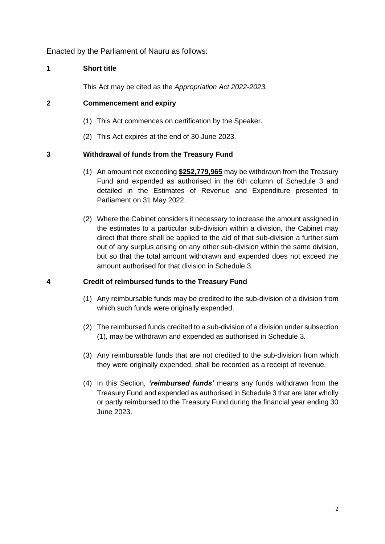Enacted by the Parliament of Nauru as follows:

## <span id="page-1-0"></span>**1 Short title**

This Act may be cited as the *Appropriation Act 2022-2023.*

#### <span id="page-1-1"></span>**2 Commencement and expiry**

- (1) This Act commences on certification by the Speaker.
- (2) This Act expires at the end of 30 June 2023.

### <span id="page-1-2"></span>**3 Withdrawal of funds from the Treasury Fund**

- (1) An amount not exceeding **\$252,779,965** may be withdrawn from the Treasury Fund and expended as authorised in the 6th column of Schedule 3 and detailed in the Estimates of Revenue and Expenditure presented to Parliament on 31 May 2022.
- (2) Where the Cabinet considers it necessary to increase the amount assigned in the estimates to a particular sub-division within a division, the Cabinet may direct that there shall be applied to the aid of that sub-division a further sum out of any surplus arising on any other sub-division within the same division, but so that the total amount withdrawn and expended does not exceed the amount authorised for that division in Schedule 3.

#### <span id="page-1-3"></span>**4 Credit of reimbursed funds to the Treasury Fund**

- (1) Any reimbursable funds may be credited to the sub-division of a division from which such funds were originally expended.
- (2) The reimbursed funds credited to a sub-division of a division under subsection (1), may be withdrawn and expended as authorised in Schedule 3.
- (3) Any reimbursable funds that are not credited to the sub-division from which they were originally expended, shall be recorded as a receipt of revenue.
- (4) In this Section, *'reimbursed funds'* means any funds withdrawn from the Treasury Fund and expended as authorised in Schedule 3 that are later wholly or partly reimbursed to the Treasury Fund during the financial year ending 30 June 2023.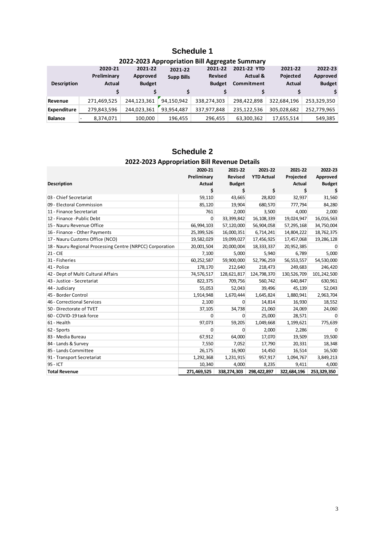# **Schedule 1**

<span id="page-2-0"></span>

| 2022-2023 Appropriation bill Aggregate Summary |                |               |                   |                |                     |             |               |  |
|------------------------------------------------|----------------|---------------|-------------------|----------------|---------------------|-------------|---------------|--|
|                                                | 2020-21        | 2021-22       | 2021-22           | 2021-22        | 2021-22 YTD         | 2021-22     | 2022-23       |  |
|                                                | Preliminary    | Approved      | <b>Supp Bills</b> | <b>Revised</b> | <b>Actual &amp;</b> | Pojected    | Approved      |  |
| <b>Description</b>                             | Actual         | <b>Budget</b> |                   | <b>Budget</b>  | Commitment          | Actual      | <b>Budget</b> |  |
|                                                |                |               |                   |                |                     |             |               |  |
| Revenue                                        | 271,469,525    | 244,123,361   | 94.150.942        | 338,274,303    | 298,422,898         | 322,684,196 | 253,329,350   |  |
| Expenditure                                    | 279.843.596    | 244.023.361   | 93.954.487        | 337,977,848    | 235.122.536         | 305.028.682 | 252,779,965   |  |
| <b>Balance</b>                                 | 8.374.071<br>۰ | 100,000       | 196.455           | 296.455        | 63,300,362          | 17,655,514  | 549.385       |  |

## **2022-2023 Appropriation Bill Aggregate Summary**

## **Schedule 2 2022-2023 Appropriation Bill Revenue Details**

<span id="page-2-1"></span>

|                                                           | 2020-21<br>Preliminary | 2021-22<br>Revised | 2021-22<br><b>YTD Actual</b> | 2021-22<br>Projected | 2022-23<br>Approved |
|-----------------------------------------------------------|------------------------|--------------------|------------------------------|----------------------|---------------------|
| <b>Description</b>                                        | Actual                 | <b>Budget</b>      |                              | Actual               | <b>Budget</b>       |
|                                                           | \$                     | \$                 | \$                           | \$                   |                     |
| 03 - Chief Secretariat                                    | 59,110                 | 43,665             | 28,820                       | 32,937               | 31,560              |
| 09 - Electoral Commission                                 | 85,120                 | 19,904             | 680,570                      | 777,794              | 84,280              |
| 11 - Finance Secretariat                                  | 761                    | 2,000              | 3,500                        | 4,000                | 2,000               |
| 12 - Finance - Public Debt                                | $\Omega$               | 33,399,842         | 16,108,339                   | 19,024,947           | 16,016,563          |
| 15 - Nauru Revenue Office                                 | 66,994,103             | 57,120,000         | 56,904,058                   | 57,295,168           | 34,750,004          |
| 16 - Finance - Other Payments                             | 25,399,526             | 16,000,351         | 6,714,241                    | 14,804,222           | 18,762,375          |
| 17 - Nauru Customs Office (NCO)                           | 19,582,029             | 19,099,027         | 17,456,925                   | 17,457,068           | 19,286,128          |
| 18 - Nauru Regional Processing Centre (NRPCC) Corporation | 20,001,504             | 20,000,004         | 18,333,337                   | 20,952,385           | 0                   |
| 21 - CIE                                                  | 7,100                  | 5,000              | 5,940                        | 6,789                | 5,000               |
| 31 - Fisheries                                            | 60,252,587             | 59,900,000         | 52,796,259                   | 56,553,557           | 54,530,000          |
| 41 - Police                                               | 178,170                | 212,640            | 218,473                      | 249,683              | 246,420             |
| 42 - Dept of Multi Cultural Affairs                       | 74,576,517             | 128,621,817        | 124,798,370                  | 130,526,709          | 101,242,500         |
| 43 - Justice - Secretariat                                | 822,375                | 709,756            | 560,742                      | 640,847              | 630,961             |
| 44 - Judiciary                                            | 55,053                 | 52,043             | 39,496                       | 45,139               | 52,043              |
| 45 - Border Control                                       | 1,914,948              | 1,670,444          | 1,645,824                    | 1,880,941            | 2,963,704           |
| 46 - Correctional Services                                | 2,100                  | 0                  | 14,814                       | 16,930               | 18,552              |
| 50 - Directorate of TVET                                  | 37,105                 | 34,738             | 21,060                       | 24,069               | 24,060              |
| 60 - COVID-19 task force                                  | 0                      | 0                  | 25,000                       | 28,571               | 0                   |
| 61 - Health                                               | 97,073                 | 59,205             | 1,049,668                    | 1,199,621            | 775,639             |
| 62 - Sports                                               | 0                      | 0                  | 2,000                        | 2,286                | 0                   |
| 83 - Media Bureau                                         | 67,912                 | 64,000             | 17,070                       | 19,509               | 19,500              |
| 84 - Lands & Survey                                       | 7,550                  | 7,052              | 17,790                       | 20,331               | 18,348              |
| 85 - Lands Committee                                      | 26,175                 | 16,900             | 14,450                       | 16,514               | 16,500              |
| 91 - Transport Secretariat                                | 1,292,368              | 1,231,915          | 957,917                      | 1,094,767            | 3,849,213           |
| 95 - ICT                                                  | 10,340                 | 4,000              | 8,235                        | 9,411                | 4,000               |
| <b>Total Revenue</b>                                      | 271,469,525            | 338,274,303        | 298,422,897                  | 322,684,196          | 253,329,350         |